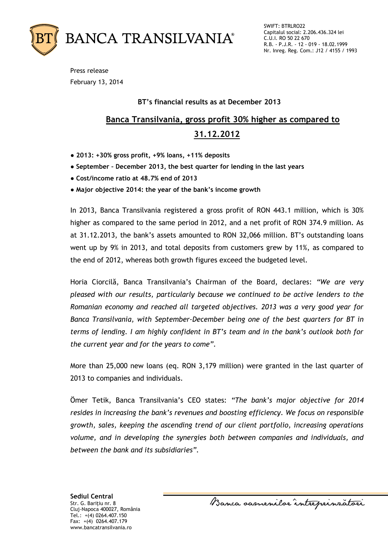

SWIFT: BTRLRO22 Capitalul social: 2.206.436.324 lei C.U.I. RO 50 22 670 R.B. - P.J.R. - 12 - 019 - 18.02.1999 Nr. Inreg. Reg. Com.: J12 / 4155 / 1993

Press release February 13, 2014

### **BT's financial results as at December 2013**

# **Banca Transilvania, gross profit 30% higher as compared to 31.12.2012**

- **2013: +30% gross profit, +9% loans, +11% deposits**
- **September – December 2013, the best quarter for lending in the last years**
- **Cost/income ratio at 48.7% end of 2013**
- **Major objective 2014: the year of the bank's income growth**

In 2013, Banca Transilvania registered a gross profit of RON 443.1 million, which is 30% higher as compared to the same period in 2012, and a net profit of RON 374.9 million. As at 31.12.2013, the bank's assets amounted to RON 32,066 million. BT's outstanding loans went up by 9% in 2013, and total deposits from customers grew by 11%, as compared to the end of 2012, whereas both growth figures exceed the budgeted level.

Horia Ciorcilă, Banca Transilvania's Chairman of the Board, declares: *"We are very pleased with our results, particularly because we continued to be active lenders to the Romanian economy and reached all targeted objectives. 2013 was a very good year for Banca Transilvania, with September-December being one of the best quarters for BT in terms of lending. I am highly confident in BT's team and in the bank's outlook both for the current year and for the years to come".*

More than 25,000 new loans (eq. RON 3,179 million) were granted in the last quarter of 2013 to companies and individuals.

Ömer Tetik, Banca Transilvania's CEO states: *"The bank's major objective for 2014 resides in increasing the bank's revenues and boosting efficiency. We focus on responsible growth, sales, keeping the ascending trend of our client portfolio, increasing operations volume, and in developing the synergies both between companies and individuals, and between the bank and its subsidiaries".*

**Sediul Central** Str. G. Bariţiu nr. 8 Cluj-Napoca 400027, România Tel.: +(4) 0264.407.150 Fax: +(4) 0264.407.179 www.bancatransilvania.ro

Banca oasnenilor intreprinratori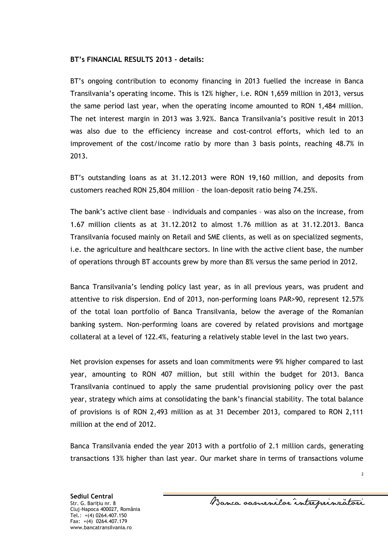#### **BT's FINANCIAL RESULTS 2013 - details:**

BT's ongoing contribution to economy financing in 2013 fuelled the increase in Banca Transilvania's operating income. This is 12% higher, i.e. RON 1,659 million in 2013, versus the same period last year, when the operating income amounted to RON 1,484 million. The net interest margin in 2013 was 3.92%. Banca Transilvania's positive result in 2013 was also due to the efficiency increase and cost-control efforts, which led to an improvement of the cost/income ratio by more than 3 basis points, reaching 48.7% in 2013.

BT's outstanding loans as at 31.12.2013 were RON 19,160 million, and deposits from customers reached RON 25,804 million – the loan-deposit ratio being 74.25%.

The bank's active client base – individuals and companies – was also on the increase, from 1.67 million clients as at 31.12.2012 to almost 1.76 million as at 31.12.2013. Banca Transilvania focused mainly on Retail and SME clients, as well as on specialized segments, i.e. the agriculture and healthcare sectors. In line with the active client base, the number of operations through BT accounts grew by more than 8% versus the same period in 2012.

Banca Transilvania's lending policy last year, as in all previous years, was prudent and attentive to risk dispersion. End of 2013, non-performing loans PAR>90, represent 12.57% of the total loan portfolio of Banca Transilvania, below the average of the Romanian banking system. Non-performing loans are covered by related provisions and mortgage collateral at a level of 122.4%, featuring a relatively stable level in the last two years.

Net provision expenses for assets and loan commitments were 9% higher compared to last year, amounting to RON 407 million, but still within the budget for 2013. Banca Transilvania continued to apply the same prudential provisioning policy over the past year, strategy which aims at consolidating the bank's financial stability. The total balance of provisions is of RON 2,493 million as at 31 December 2013, compared to RON 2,111 million at the end of 2012.

Banca Transilvania ended the year 2013 with a portfolio of 2.1 million cards, generating transactions 13% higher than last year. Our market share in terms of transactions volume

Banca samenilor intreprinzatori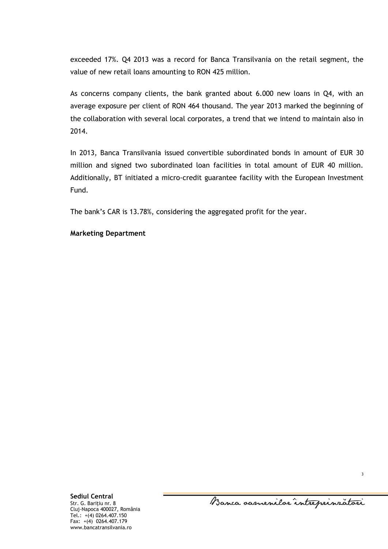exceeded 17%. Q4 2013 was a record for Banca Transilvania on the retail segment, the value of new retail loans amounting to RON 425 million.

As concerns company clients, the bank granted about 6.000 new loans in Q4, with an average exposure per client of RON 464 thousand. The year 2013 marked the beginning of the collaboration with several local corporates, a trend that we intend to maintain also in 2014.

In 2013, Banca Transilvania issued convertible subordinated bonds in amount of EUR 30 million and signed two subordinated loan facilities in total amount of EUR 40 million. Additionally, BT initiated a micro-credit guarantee facility with the European Investment Fund.

The bank's CAR is 13.78%, considering the aggregated profit for the year.

#### **Marketing Department**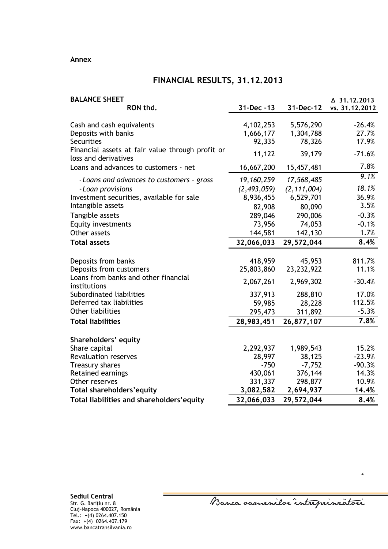#### **Annex**

## **FINANCIAL RESULTS, 31.12.2013**

| <b>BALANCE SHEET</b>                                                     |               |               | △ 31.12.2013   |
|--------------------------------------------------------------------------|---------------|---------------|----------------|
| RON thd.                                                                 | 31-Dec -13    | 31-Dec-12     | vs. 31.12.2012 |
|                                                                          |               |               |                |
| Cash and cash equivalents                                                | 4,102,253     | 5,576,290     | $-26.4%$       |
| Deposits with banks                                                      | 1,666,177     | 1,304,788     | 27.7%          |
| Securities                                                               | 92,335        | 78,326        | 17.9%          |
| Financial assets at fair value through profit or<br>loss and derivatives | 11,122        | 39,179        | $-71.6%$       |
| Loans and advances to customers - net                                    | 16,667,200    | 15,457,481    | 7.8%           |
| - Loans and advances to customers - gross                                | 19, 160, 259  | 17,568,485    | 9.1%           |
| - Loan provisions                                                        | (2, 493, 059) | (2, 111, 004) | 18.1%          |
| Investment securities, available for sale                                | 8,936,455     | 6,529,701     | 36.9%          |
| Intangible assets                                                        | 82,908        | 80,090        | 3.5%           |
| Tangible assets                                                          | 289,046       | 290,006       | $-0.3%$        |
| <b>Equity investments</b>                                                | 73,956        | 74,053        | $-0.1%$        |
| Other assets                                                             | 144,581       | 142,130       | 1.7%           |
| <b>Total assets</b>                                                      | 32,066,033    | 29,572,044    | 8.4%           |
|                                                                          |               |               |                |
| Deposits from banks                                                      | 418,959       | 45,953        | 811.7%         |
| Deposits from customers                                                  | 25,803,860    | 23, 232, 922  | 11.1%          |
| Loans from banks and other financial<br>institutions                     | 2,067,261     | 2,969,302     | $-30.4%$       |
| Subordinated liabilities                                                 | 337,913       | 288,810       | 17.0%          |
| Deferred tax liabilities                                                 | 59,985        | 28,228        | 112.5%         |
| <b>Other liabilities</b>                                                 | 295,473       | 311,892       | $-5.3%$        |
| <b>Total liabilities</b>                                                 | 28,983,451    | 26,877,107    | 7.8%           |
| Shareholders' equity                                                     |               |               |                |
| Share capital                                                            | 2,292,937     | 1,989,543     | 15.2%          |
| <b>Revaluation reserves</b>                                              | 28,997        | 38,125        | $-23.9%$       |
| Treasury shares                                                          | $-750$        | $-7,752$      | $-90.3%$       |
| Retained earnings                                                        | 430,061       | 376,144       | 14.3%          |
| Other reserves                                                           | 331,337       | 298,877       | 10.9%          |
| Total shareholders' equity                                               | 3,082,582     | 2,694,937     | 14.4%          |
| Total liabilities and shareholders' equity                               | 32,066,033    | 29,572,044    | 8.4%           |

Banca oamenilor intreprinzatori